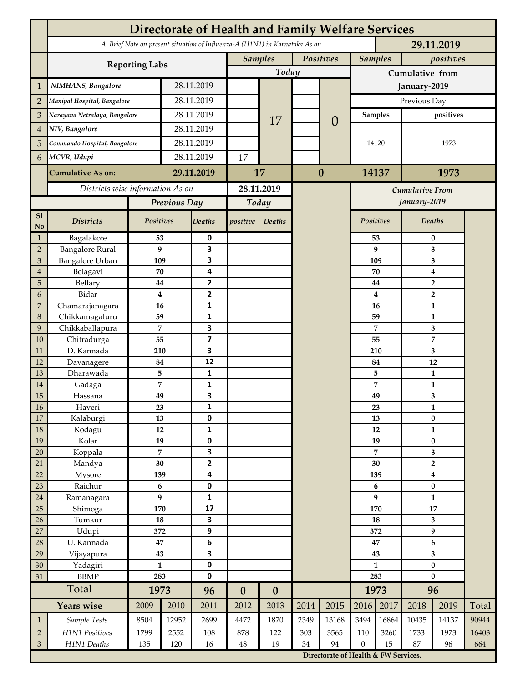|                 | <b>Directorate of Health and Family Welfare Services</b>                                 |                  |            |                         |                  |                  |           |                                      |                 |                        |                     |                           |       |  |
|-----------------|------------------------------------------------------------------------------------------|------------------|------------|-------------------------|------------------|------------------|-----------|--------------------------------------|-----------------|------------------------|---------------------|---------------------------|-------|--|
|                 | A Brief Note on present situation of Influenza-A (H1N1) in Karnataka As on<br>29.11.2019 |                  |            |                         |                  |                  |           |                                      |                 |                        |                     |                           |       |  |
|                 | <b>Reporting Labs</b>                                                                    |                  |            |                         | <b>Samples</b>   |                  | Positives |                                      | <b>Samples</b>  |                        | positives           |                           |       |  |
|                 |                                                                                          |                  |            |                         |                  | Today            |           |                                      | Cumulative from |                        |                     |                           |       |  |
| $\mathbf{1}$    | NIMHANS, Bangalore                                                                       | 28.11.2019       |            |                         |                  |                  |           | January-2019                         |                 |                        |                     |                           |       |  |
| $\overline{2}$  | Manipal Hospital, Bangalore                                                              |                  |            | 28.11.2019              |                  |                  |           |                                      | Previous Day    |                        |                     |                           |       |  |
| 3               | Narayana Netralaya, Bangalore                                                            |                  |            | 28.11.2019              |                  |                  |           |                                      | <b>Samples</b>  |                        | positives           |                           |       |  |
| $\overline{4}$  | NIV, Bangalore                                                                           |                  | 28.11.2019 |                         |                  | 17               |           | $\theta$                             |                 |                        |                     |                           |       |  |
| 5               | Commando Hospital, Bangalore                                                             |                  | 28.11.2019 |                         |                  |                  |           |                                      | 14120           |                        | 1973                |                           |       |  |
| 6               | MCVR, Udupi                                                                              |                  | 28.11.2019 |                         | 17               |                  |           |                                      |                 |                        |                     |                           |       |  |
|                 |                                                                                          |                  |            | 29.11.2019              |                  |                  | $\bf{0}$  |                                      | 14137           |                        | 1973                |                           |       |  |
|                 | <b>Cumulative As on:</b>                                                                 |                  |            |                         | 17               |                  |           |                                      |                 |                        |                     |                           |       |  |
|                 | Districts wise information As on                                                         |                  |            | 28.11.2019              |                  |                  |           |                                      |                 | <b>Cumulative From</b> |                     |                           |       |  |
|                 |                                                                                          | Previous Day     |            | Today                   |                  |                  |           |                                      |                 |                        | January-2019        |                           |       |  |
| S1<br>No        | <b>Districts</b>                                                                         | Positives        |            | <b>Deaths</b>           | positive         | Deaths           |           |                                      | Positives       |                        |                     | Deaths                    |       |  |
| $\mathbf{1}$    | Bagalakote                                                                               | 53               |            | 0                       |                  |                  |           |                                      |                 | 53                     | $\bf{0}$            |                           |       |  |
| $\overline{2}$  | <b>Bangalore Rural</b>                                                                   | 9                |            | 3                       |                  |                  |           |                                      |                 | 9                      | 3                   |                           |       |  |
| 3               | Bangalore Urban                                                                          | 109              |            | 3                       |                  |                  |           |                                      | 109             |                        | 3                   |                           |       |  |
| $\overline{4}$  | Belagavi                                                                                 | 70               |            | 4                       |                  |                  |           |                                      |                 | 70                     |                     | $\boldsymbol{4}$          |       |  |
| 5<br>6          | Bellary<br>Bidar                                                                         | 44<br>$\bf{4}$   |            | 2<br>$\overline{2}$     |                  |                  |           |                                      |                 | 44<br>4                |                     | $\overline{2}$            |       |  |
| 7               | Chamarajanagara                                                                          | 16               |            | 1                       |                  |                  |           |                                      |                 | 16                     | $\overline{2}$<br>1 |                           |       |  |
| 8               | Chikkamagaluru                                                                           | 59               |            | 1                       |                  |                  |           |                                      |                 | 59                     |                     | 1                         |       |  |
| 9               | Chikkaballapura                                                                          | 7                |            | 3                       |                  |                  |           |                                      |                 | 7                      |                     | 3                         |       |  |
| 10              | Chitradurga                                                                              | 55               |            | $\overline{\mathbf{z}}$ |                  |                  |           |                                      |                 | 55                     |                     | 7                         |       |  |
| 11              | D. Kannada                                                                               | 210              |            | 3                       |                  |                  |           |                                      |                 | 210                    |                     | 3                         |       |  |
| 12              | Davanagere                                                                               | 84               |            | 12                      |                  |                  |           |                                      |                 | 84                     |                     | 12                        |       |  |
| 13              | Dharawada                                                                                | 5                |            | $\mathbf{1}$            |                  |                  |           |                                      |                 | 5                      |                     | $\mathbf{1}$              |       |  |
| 14              | Gadaga                                                                                   | 7                |            | 1<br>3                  |                  |                  |           |                                      |                 | 7                      |                     | 1                         |       |  |
| 15<br><b>16</b> | Hassana<br>Haveri                                                                        | 49<br>23         |            | 1                       |                  |                  |           |                                      |                 | 49<br>23               |                     | 3<br>1                    |       |  |
| 17              | Kalaburgi                                                                                | 13               |            | 0                       |                  |                  |           |                                      |                 | 13                     | $\pmb{0}$           |                           |       |  |
| 18              | Kodagu                                                                                   | 12               |            | $\mathbf{1}$            |                  |                  |           |                                      |                 | 12                     |                     | $\mathbf{1}$              |       |  |
| 19              | Kolar                                                                                    | 19               |            | 0                       |                  |                  |           |                                      |                 | 19                     |                     | $\pmb{0}$                 |       |  |
| 20              | Koppala                                                                                  | $\overline{7}$   |            | 3                       |                  |                  |           |                                      | 7               |                        | 3                   |                           |       |  |
| 21              | Mandya                                                                                   | $30\,$           |            | $\mathbf{2}$            |                  |                  |           |                                      | 30              |                        | $\mathbf 2$         |                           |       |  |
| 22              | Mysore                                                                                   | 139              |            | 4                       |                  |                  |           |                                      |                 | 139                    |                     | $\boldsymbol{4}$          |       |  |
| 23              | Raichur                                                                                  | $\bf 6$<br>9     |            | $\pmb{0}$               |                  |                  |           |                                      |                 | 6<br>9                 |                     | $\pmb{0}$<br>$\mathbf{1}$ |       |  |
| $24\,$<br>25    | Ramanagara<br>Shimoga                                                                    | 170              |            | 1<br>17                 |                  |                  |           |                                      |                 | 170                    |                     | $17\,$                    |       |  |
| 26              | Tumkur                                                                                   | ${\bf 18}$       |            | 3                       |                  |                  |           |                                      | 18              |                        | 3                   |                           |       |  |
| 27              | Udupi                                                                                    | 372              |            | 9                       |                  |                  |           |                                      |                 | 372                    | 9                   |                           |       |  |
| 28              | U. Kannada                                                                               | $\bf 47$         |            | $\bf 6$                 |                  |                  |           |                                      | 47              |                        | $\bf 6$             |                           |       |  |
| 29              | Vijayapura                                                                               | 43               |            | 3                       |                  |                  |           |                                      |                 | 43                     |                     | 3                         |       |  |
| 30              | Yadagiri                                                                                 | $\mathbf{1}$     |            | 0                       |                  |                  |           |                                      | $\mathbf{1}$    |                        | $\pmb{0}$           |                           |       |  |
| 31              | <b>BBMP</b>                                                                              | 283              |            | 0                       |                  |                  |           |                                      | 283             |                        | $\bf{0}$            |                           |       |  |
|                 | Total                                                                                    | 1973             |            | 96                      | $\boldsymbol{0}$ | $\boldsymbol{0}$ |           |                                      |                 | 1973                   | 96                  |                           |       |  |
|                 | <b>Years wise</b>                                                                        | 2009             | 2010       | 2011                    | 2012             | 2013             | 2014      | 2015                                 | 2016            | 2017                   | 2018                | 2019                      | Total |  |
| $\mathbf{1}$    | Sample Tests                                                                             | 8504             | 12952      | 2699                    | 4472             | 1870             | 2349      | 13168                                | 3494            | 16864                  | 10435               | 14137                     | 90944 |  |
| $\overline{2}$  | H1N1 Positives                                                                           | 1799             | 2552       | 108                     | 878              | 122              | 303       | 3565                                 | 110             | 3260                   | 1733                | 1973                      | 16403 |  |
| $\mathfrak{Z}$  | H1N1 Deaths                                                                              | 135<br>120<br>16 |            | $\bf 48$                | 19               | 34               | 94        | $\boldsymbol{0}$                     | 15              | 87                     | 96                  | 664                       |       |  |
|                 |                                                                                          |                  |            |                         |                  |                  |           | Directorate of Health & FW Services. |                 |                        |                     |                           |       |  |